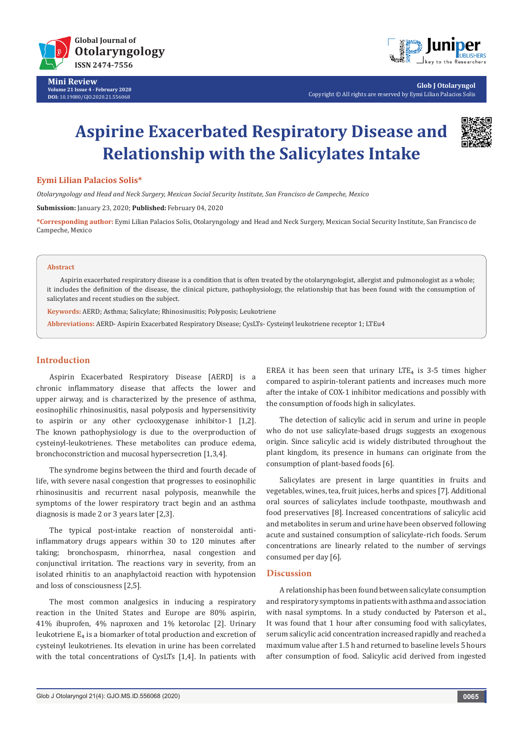



**Glob J Otolaryngol** Copyright © All rights are reserved by Eymi Lilian Palacios Solis

# **Aspirine Exacerbated Respiratory Disease and Relationship with the Salicylates Intake**



### **Eymi Lilian Palacios Solis\***

*Otolaryngology and Head and Neck Surgery, Mexican Social Security Institute, San Francisco de Campeche, Mexico*

**Submission:** January 23, 2020; **Published:** February 04, 2020

**\*Corresponding author:** Eymi Lilian Palacios Solis, Otolaryngology and Head and Neck Surgery, Mexican Social Security Institute, San Francisco de Campeche, Mexico

## **Abstract**

Aspirin exacerbated respiratory disease is a condition that is often treated by the otolaryngologist, allergist and pulmonologist as a whole; it includes the definition of the disease, the clinical picture, pathophysiology, the relationship that has been found with the consumption of salicylates and recent studies on the subject.

**Keywords:** AERD; Asthma; Salicylate; Rhinosinusitis; Polyposis; Leukotriene

**Abbreviations:** AERD- Aspirin Exacerbated Respiratory Disease; CysLTs- Cysteinyl leukotriene receptor 1; LTEu4

# **Introduction**

Aspirin Exacerbated Respiratory Disease [AERD] is a chronic inflammatory disease that affects the lower and upper airway, and is characterized by the presence of asthma, eosinophilic rhinosinusitis, nasal polyposis and hypersensitivity to aspirin or any other cyclooxygenase inhibitor-1 [1,2]. The known pathophysiology is due to the overproduction of cysteinyl-leukotrienes. These metabolites can produce edema, bronchoconstriction and mucosal hypersecretion [1,3,4].

The syndrome begins between the third and fourth decade of life, with severe nasal congestion that progresses to eosinophilic rhinosinusitis and recurrent nasal polyposis, meanwhile the symptoms of the lower respiratory tract begin and an asthma diagnosis is made 2 or 3 years later [2,3].

The typical post-intake reaction of nonsteroidal antiinflammatory drugs appears within 30 to 120 minutes after taking; bronchospasm, rhinorrhea, nasal congestion and conjunctival irritation. The reactions vary in severity, from an isolated rhinitis to an anaphylactoid reaction with hypotension and loss of consciousness [2,5].

The most common analgesics in inducing a respiratory reaction in the United States and Europe are 80% aspirin, 41% ibuprofen, 4% naproxen and 1% ketorolac [2]. Urinary leukotriene  $E_4$  is a biomarker of total production and excretion of cysteinyl leukotrienes. Its elevation in urine has been correlated with the total concentrations of CysLTs [1,4]. In patients with

EREA it has been seen that urinary  $LTE_4$  is 3-5 times higher compared to aspirin-tolerant patients and increases much more after the intake of COX-1 inhibitor medications and possibly with the consumption of foods high in salicylates.

The detection of salicylic acid in serum and urine in people who do not use salicylate-based drugs suggests an exogenous origin. Since salicylic acid is widely distributed throughout the plant kingdom, its presence in humans can originate from the consumption of plant-based foods [6].

Salicylates are present in large quantities in fruits and vegetables, wines, tea, fruit juices, herbs and spices [7]. Additional oral sources of salicylates include toothpaste, mouthwash and food preservatives [8]. Increased concentrations of salicylic acid and metabolites in serum and urine have been observed following acute and sustained consumption of salicylate-rich foods. Serum concentrations are linearly related to the number of servings consumed per day [6].

# **Discussion**

A relationship has been found between salicylate consumption and respiratory symptoms in patients with asthma and association with nasal symptoms. In a study conducted by Paterson et al., It was found that 1 hour after consuming food with salicylates, serum salicylic acid concentration increased rapidly and reached a maximum value after 1.5 h and returned to baseline levels 5 hours after consumption of food. Salicylic acid derived from ingested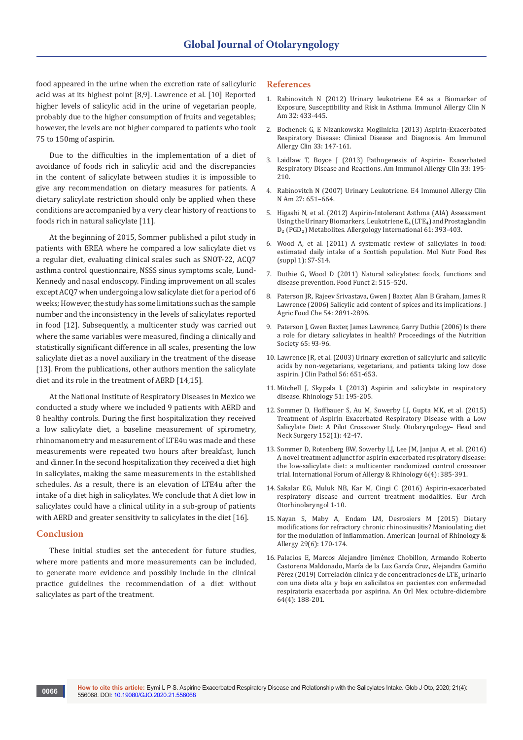food appeared in the urine when the excretion rate of salicyluric acid was at its highest point [8,9]. Lawrence et al. [10] Reported higher levels of salicylic acid in the urine of vegetarian people, probably due to the higher consumption of fruits and vegetables; however, the levels are not higher compared to patients who took 75 to 150mg of aspirin.

Due to the difficulties in the implementation of a diet of avoidance of foods rich in salicylic acid and the discrepancies in the content of salicylate between studies it is impossible to give any recommendation on dietary measures for patients. A dietary salicylate restriction should only be applied when these conditions are accompanied by a very clear history of reactions to foods rich in natural salicylate [11].

At the beginning of 2015, Sommer published a pilot study in patients with EREA where he compared a low salicylate diet vs a regular diet, evaluating clinical scales such as SNOT-22, ACQ7 asthma control questionnaire, NSSS sinus symptoms scale, Lund-Kennedy and nasal endoscopy. Finding improvement on all scales except ACQ7 when undergoing a low salicylate diet for a period of 6 weeks; However, the study has some limitations such as the sample number and the inconsistency in the levels of salicylates reported in food [12]. Subsequently, a multicenter study was carried out where the same variables were measured, finding a clinically and statistically significant difference in all scales, presenting the low salicylate diet as a novel auxiliary in the treatment of the disease [13]. From the publications, other authors mention the salicylate diet and its role in the treatment of AERD [14,15].

At the National Institute of Respiratory Diseases in Mexico we conducted a study where we included 9 patients with AERD and 8 healthy controls. During the first hospitalization they received a low salicylate diet, a baseline measurement of spirometry, rhinomanometry and measurement of LTE4u was made and these measurements were repeated two hours after breakfast, lunch and dinner. In the second hospitalization they received a diet high in salicylates, making the same measurements in the established schedules. As a result, there is an elevation of LTE4u after the intake of a diet high in salicylates. We conclude that A diet low in salicylates could have a clinical utility in a sub-group of patients with AERD and greater sensitivity to salicylates in the diet [16].

### **Conclusion**

These initial studies set the antecedent for future studies, where more patients and more measurements can be included, to generate more evidence and possibly include in the clinical practice guidelines the recommendation of a diet without salicylates as part of the treatment.

### **References**

- 1. [Rabinovitch N \(2012\) Urinary leukotriene E4 as a Biomarker of](https://www.ncbi.nlm.nih.gov/pubmed/22877620)  [Exposure, Susceptibility and Risk in Asthma. Immunol Allergy Clin N](https://www.ncbi.nlm.nih.gov/pubmed/22877620)  [Am 32: 433-445.](https://www.ncbi.nlm.nih.gov/pubmed/22877620)
- 2. Bochenek G, E Nizankowska Mogilnicka (2013) Aspirin-Exacerbated Respiratory Disease: Clinical Disease and Diagnosis. Am Immunol Allergy Clin 33: 147-161.
- 3. [Laidlaw T, Boyce J \(2013\) Pathogenesis of Aspirin- Exacerbated](https://www.ncbi.nlm.nih.gov/pubmed/23639708)  [Respiratory Disease and Reactions. Am Immunol Allergy Clin 33: 195-](https://www.ncbi.nlm.nih.gov/pubmed/23639708) [210.](https://www.ncbi.nlm.nih.gov/pubmed/23639708)
- 4. [Rabinovitch N \(2007\) Urinary Leukotriene. E4 Immunol Allergy Clin](https://www.ncbi.nlm.nih.gov/pubmed/17996582)  [N Am 27: 651–664.](https://www.ncbi.nlm.nih.gov/pubmed/17996582)
- 5. [Higashi N, et al. \(2012\) Aspirin-Intolerant Asthma \(AIA\) Assessment](https://www.ncbi.nlm.nih.gov/pubmed/22627848)  Using the Urinary Biomarkers, Leukotriene  $E_4$  (LTE<sub>4</sub>) and Prostaglandin D<sub>2</sub> (PGD<sub>2</sub>) Metabolites. Allergology International 61: 393-403.
- 6. [Wood A, et al. \(2011\) A systematic review of salicylates in food:](https://www.ncbi.nlm.nih.gov/pubmed/21351247)  [estimated daily intake of a Scottish population. Mol Nutr Food Res](https://www.ncbi.nlm.nih.gov/pubmed/21351247)  [\(suppl 1\): S7-S14.](https://www.ncbi.nlm.nih.gov/pubmed/21351247)
- 7. [Duthie G, Wood D \(2011\) Natural salicylates: foods, functions and](https://www.ncbi.nlm.nih.gov/pubmed/21879102)  [disease prevention. Food Funct 2: 515–520.](https://www.ncbi.nlm.nih.gov/pubmed/21879102)
- 8. [Paterson JR, Rajeev Srivastava, Gwen J Baxter, Alan B Graham, James R](https://pubs.acs.org/doi/abs/10.1021/jf058158w)  [Lawrence \(2006\) Salicylic acid content of spices and its implications. J](https://pubs.acs.org/doi/abs/10.1021/jf058158w)  [Agric Food Che 54: 2891-2896.](https://pubs.acs.org/doi/abs/10.1021/jf058158w)
- 9. [Paterson J, Gwen Baxter, James Lawrence, Garry Duthie \(2006\) Is there](https://www.cambridge.org/core/journals/proceedings-of-the-nutrition-society/article/is-there-a-role-for-dietary-salicylates-in-health/482FFA77FF191993F68B54FBE09D414F)  [a role for dietary salicylates in health? Proceedings of the Nutrition](https://www.cambridge.org/core/journals/proceedings-of-the-nutrition-society/article/is-there-a-role-for-dietary-salicylates-in-health/482FFA77FF191993F68B54FBE09D414F)  [Society 65: 93-96.](https://www.cambridge.org/core/journals/proceedings-of-the-nutrition-society/article/is-there-a-role-for-dietary-salicylates-in-health/482FFA77FF191993F68B54FBE09D414F)
- 10. [Lawrence JR, et al. \(2003\) Urinary excretion of salicyluric and salicylic](https://www.ncbi.nlm.nih.gov/pmc/articles/PMC1770047/)  [acids by non-vegetarians, vegetarians, and patients taking low dose](https://www.ncbi.nlm.nih.gov/pmc/articles/PMC1770047/)  [aspirin. J Clin Pathol 56: 651-653.](https://www.ncbi.nlm.nih.gov/pmc/articles/PMC1770047/)
- 11. [Mitchell J, Skypala I. \(2013\) Aspirin and salicylate in respiratory](https://www.ncbi.nlm.nih.gov/pubmed/23943725)  [disease. Rhinology 51: 195-205.](https://www.ncbi.nlm.nih.gov/pubmed/23943725)
- 12. [Sommer D, Hoffbauer S, Au M, Sowerby LJ, Gupta MK, et al. \(2015\)](https://www.ncbi.nlm.nih.gov/pubmed/25344589)  [Treatment of Aspirin Exacerbated Respiratory Disease with a Low](https://www.ncbi.nlm.nih.gov/pubmed/25344589)  [Salicylate Diet: A Pilot Crossover Study. Otolaryngology– Head and](https://www.ncbi.nlm.nih.gov/pubmed/25344589)  [Neck Surgery 152\(1\): 42-47.](https://www.ncbi.nlm.nih.gov/pubmed/25344589)
- 13. [Sommer D, Rotenberg BW, Sowerby LJ, Lee JM, Janjua A, et al. \(2016\)](https://www.ncbi.nlm.nih.gov/pubmed/26751262)  [A novel treatment adjunct for aspirin exacerbated respiratory disease:](https://www.ncbi.nlm.nih.gov/pubmed/26751262)  [the low-salicylate diet: a multicenter randomized control crossover](https://www.ncbi.nlm.nih.gov/pubmed/26751262)  [trial. International Forum of Allergy & Rhinology 6\(4\): 385-391.](https://www.ncbi.nlm.nih.gov/pubmed/26751262)
- 14. [Sakalar EG, Muluk NB, Kar M, Cingi C \(2016\) Aspirin-exacerbated](https://www.ncbi.nlm.nih.gov/pubmed/27538737)  [respiratory disease and current treatment modalities. Eur Arch](https://www.ncbi.nlm.nih.gov/pubmed/27538737)  [Otorhinolaryngol 1-10.](https://www.ncbi.nlm.nih.gov/pubmed/27538737)
- 15. [Nayan S, Maby A, Endam LM, Desrosiers M \(2015\) Dietary](https://www.ncbi.nlm.nih.gov/pubmed/26637564)  [modifications for refractory chronic rhinosinusitis? Manioulating diet](https://www.ncbi.nlm.nih.gov/pubmed/26637564)  [for the modulation of inflammation. American Journal of Rhinology &](https://www.ncbi.nlm.nih.gov/pubmed/26637564)  [Allergy 29\(6\): 170-174.](https://www.ncbi.nlm.nih.gov/pubmed/26637564)
- 16. Palacios E, [Marcos Alejandro Jiménez Chobillon, Armando Roberto](https://otorrino.org.mx/article/correlacion-clinica-y-de-concentraciones-de-lte4-urinario-con-una-dieta-alta-y-baja-en-salicilatos-en-pacientes-con-enfermedad-respiratoria-exacerbada-por-aspirina/)  [Castorena Maldonado, María de la Luz García Cruz, Alejandra Gamiño](https://otorrino.org.mx/article/correlacion-clinica-y-de-concentraciones-de-lte4-urinario-con-una-dieta-alta-y-baja-en-salicilatos-en-pacientes-con-enfermedad-respiratoria-exacerbada-por-aspirina/)  [Pérez \(2019\) Correlación clínica y de concentraciones de LTE](https://otorrino.org.mx/article/correlacion-clinica-y-de-concentraciones-de-lte4-urinario-con-una-dieta-alta-y-baja-en-salicilatos-en-pacientes-con-enfermedad-respiratoria-exacerbada-por-aspirina/)<sub>4</sub> urinario [con una dieta alta y baja en salicilatos en pacientes con enfermedad](https://otorrino.org.mx/article/correlacion-clinica-y-de-concentraciones-de-lte4-urinario-con-una-dieta-alta-y-baja-en-salicilatos-en-pacientes-con-enfermedad-respiratoria-exacerbada-por-aspirina/)  [respiratoria exacerbada por aspirina. An Orl Mex octubre-diciembre](https://otorrino.org.mx/article/correlacion-clinica-y-de-concentraciones-de-lte4-urinario-con-una-dieta-alta-y-baja-en-salicilatos-en-pacientes-con-enfermedad-respiratoria-exacerbada-por-aspirina/)  [64\(4\): 188-201.](https://otorrino.org.mx/article/correlacion-clinica-y-de-concentraciones-de-lte4-urinario-con-una-dieta-alta-y-baja-en-salicilatos-en-pacientes-con-enfermedad-respiratoria-exacerbada-por-aspirina/)